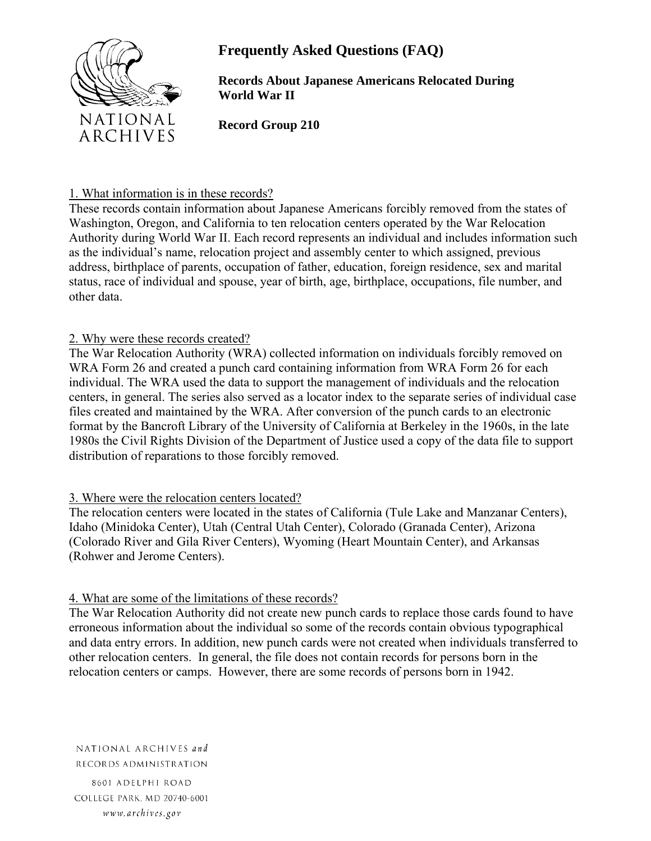

# **Frequently Asked Questions (FAQ)**

**Records About Japanese Americans Relocated During World War II**

**Record Group 210**

#### 1. What information is in these records?

These records contain information about Japanese Americans forcibly removed from the states of Washington, Oregon, and California to ten relocation centers operated by the War Relocation Authority during World War II. Each record represents an individual and includes information such as the individual's name, relocation project and assembly center to which assigned, previous address, birthplace of parents, occupation of father, education, foreign residence, sex and marital status, race of individual and spouse, year of birth, age, birthplace, occupations, file number, and other data.

# 2. Why were these records created?

The War Relocation Authority (WRA) collected information on individuals forcibly removed on WRA Form 26 and created a punch card containing information from WRA Form 26 for each individual. The WRA used the data to support the management of individuals and the relocation centers, in general. The series also served as a locator index to the separate series of individual case files created and maintained by the WRA. After conversion of the punch cards to an electronic format by the Bancroft Library of the University of California at Berkeley in the 1960s, in the late 1980s the Civil Rights Division of the Department of Justice used a copy of the data file to support distribution of reparations to those forcibly removed.

# 3. Where were the relocation centers located?

The relocation centers were located in the states of California (Tule Lake and Manzanar Centers), Idaho (Minidoka Center), Utah (Central Utah Center), Colorado (Granada Center), Arizona (Colorado River and Gila River Centers), Wyoming (Heart Mountain Center), and Arkansas (Rohwer and Jerome Centers).

# 4. What are some of the limitations of these records?

The War Relocation Authority did not create new punch cards to replace those cards found to have erroneous information about the individual so some of the records contain obvious typographical and data entry errors. In addition, new punch cards were not created when individuals transferred to other relocation centers. In general, the file does not contain records for persons born in the relocation centers or camps. However, there are some records of persons born in 1942.

NATIONAL ARCHIVES and RECORDS ADMINISTRATION

8601 ADELPHI ROAD COLLEGE PARK, MD 20740-6001 www.archives.gov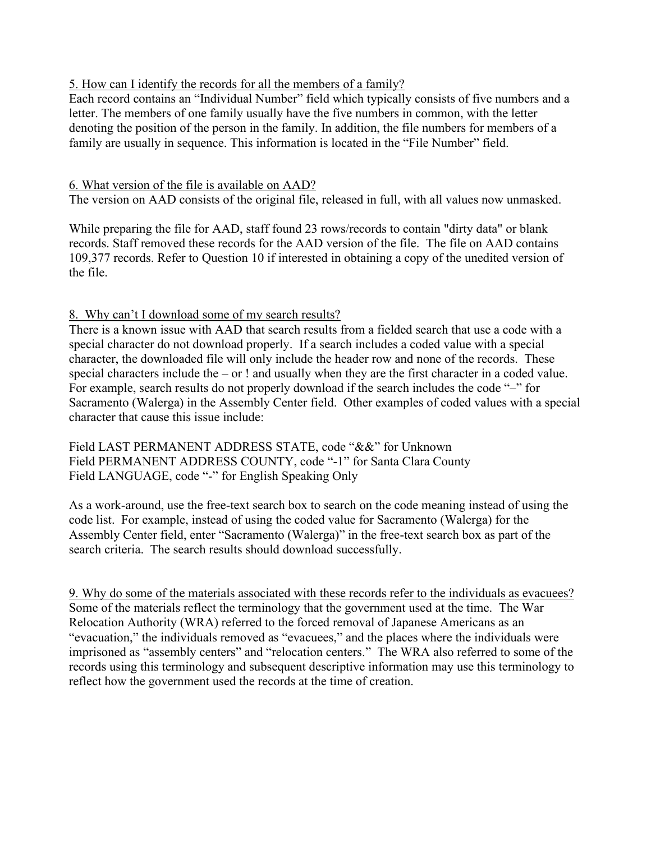#### 5. How can I identify the records for all the members of a family?

Each record contains an "Individual Number" field which typically consists of five numbers and a letter. The members of one family usually have the five numbers in common, with the letter denoting the position of the person in the family. In addition, the file numbers for members of a family are usually in sequence. This information is located in the "File Number" field.

#### 6. What version of the file is available on AAD?

The version on AAD consists of the original file, released in full, with all values now unmasked.

While preparing the file for AAD, staff found 23 rows/records to contain "dirty data" or blank records. Staff removed these records for the AAD version of the file. The file on AAD contains 109,377 records. Refer to Question 10 if interested in obtaining a copy of the unedited version of the file.

#### 8. Why can't I download some of my search results?

There is a known issue with AAD that search results from a fielded search that use a code with a special character do not download properly. If a search includes a coded value with a special character, the downloaded file will only include the header row and none of the records. These special characters include the – or ! and usually when they are the first character in a coded value. For example, search results do not properly download if the search includes the code "–" for Sacramento (Walerga) in the Assembly Center field. Other examples of coded values with a special character that cause this issue include:

Field LAST PERMANENT ADDRESS STATE, code "&&" for Unknown Field PERMANENT ADDRESS COUNTY, code "-1" for Santa Clara County Field LANGUAGE, code "-" for English Speaking Only

As a work-around, use the free-text search box to search on the code meaning instead of using the code list. For example, instead of using the coded value for Sacramento (Walerga) for the Assembly Center field, enter "Sacramento (Walerga)" in the free-text search box as part of the search criteria. The search results should download successfully.

9. Why do some of the materials associated with these records refer to the individuals as evacuees? Some of the materials reflect the terminology that the government used at the time. The War Relocation Authority (WRA) referred to the forced removal of Japanese Americans as an "evacuation," the individuals removed as "evacuees," and the places where the individuals were imprisoned as "assembly centers" and "relocation centers." The WRA also referred to some of the records using this terminology and subsequent descriptive information may use this terminology to reflect how the government used the records at the time of creation.